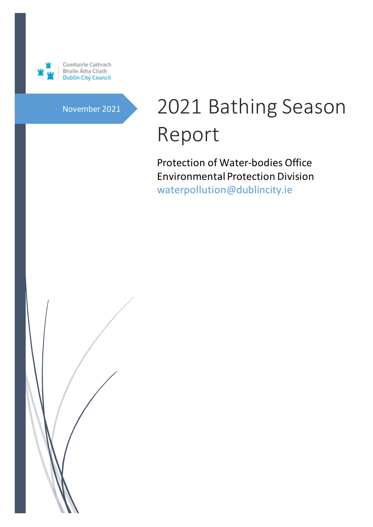

# November 2021 2021 Bathing Season Report

 Protection of Water-bodies Office Environmental Protection Division waterpollution@dublincity.ie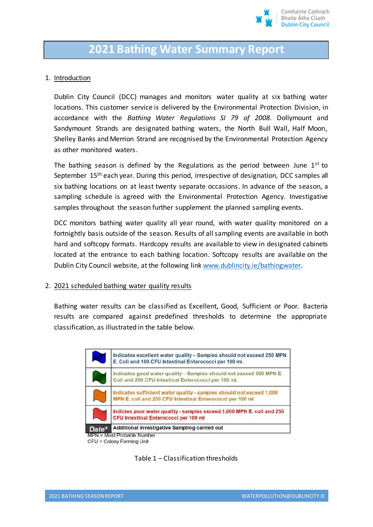

# **2021 Bathing Water Summary Report**

#### 1. Introduction

Dublin City Council (DCC) manages and monitors water quality at six bathing water locations. This customer service is delivered by the Environmental Protection Division, in accordance with the *Bathing Water Regulations SI 79 of 2008*. Dollymount and Sandymount Strands are designated bathing waters, the North Bull Wall, Half Moon, Shelley Banks and Merrion Strand are recognised by the Environmental Protection Agency as other monitored waters.

The bathing season is defined by the Regulations as the period between June  $1<sup>st</sup>$  to September 15<sup>th</sup> each year. During this period, irrespective of designation, DCC samples all six bathing locations on at least twenty separate occasions. In advance of the season, a sampling schedule is agreed with the Environmental Protection Agency. Investigative samples throughout the season further supplement the planned sampling events.

DCC monitors bathing water quality all year round, with water quality monitored on a fortnightly basis outside of the season. Results of all sampling events are available in both hard and softcopy formats. Hardcopy results are available to view in designated cabinets located at the entrance to each bathing location. Softcopy results are available on the Dublin City Council website, at the following lin[k www.dublincity.ie/bathingwater.](http://www.dublincity.ie/bathingwater)

#### 2. 2021 scheduled bathing water quality results

Bathing water results can be classified as Excellent, Good, Sufficient or Poor. Bacteria results are compared against predefined thresholds to determine the appropriate classification, as illustrated in the table below.



CFU = Colony Forming Unit

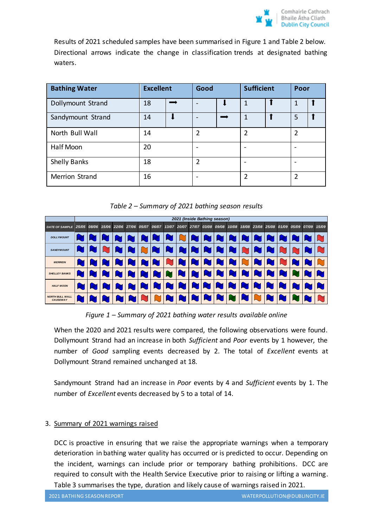

Results of 2021 scheduled samples have been summarised in Figure 1 and Table 2 below. Directional arrows indicate the change in classification trends at designated bathing waters.

| <b>Bathing Water</b> | <b>Excellent</b> |  | Good                         |  | <b>Sufficient</b> |  | Poor |  |
|----------------------|------------------|--|------------------------------|--|-------------------|--|------|--|
| Dollymount Strand    | 18               |  | $\qquad \qquad \blacksquare$ |  | 1                 |  |      |  |
| Sandymount Strand    | 14               |  | $\overline{\phantom{0}}$     |  | 1                 |  | 5    |  |
| North Bull Wall      | 14               |  | $\overline{2}$               |  | $\overline{2}$    |  | 2    |  |
| Half Moon            | 20               |  | $\qquad \qquad \blacksquare$ |  |                   |  |      |  |
| <b>Shelly Banks</b>  | 18               |  | $\overline{2}$               |  |                   |  |      |  |
| Merrion Strand       | 16               |  | $\qquad \qquad \blacksquare$ |  | 2                 |  | 2    |  |

*Table 2 – Summary of 2021 bathing season results*

| 2021 (Inside Bathing season)                                                                                                                                                                                                                                                                                                                                                                                                                                                                                                                                                        |       |       |       |  |  |                   |       |  |  |  |                                                 |  |  |       |                   |       |
|-------------------------------------------------------------------------------------------------------------------------------------------------------------------------------------------------------------------------------------------------------------------------------------------------------------------------------------------------------------------------------------------------------------------------------------------------------------------------------------------------------------------------------------------------------------------------------------|-------|-------|-------|--|--|-------------------|-------|--|--|--|-------------------------------------------------|--|--|-------|-------------------|-------|
| <b>DATE OF SAMPLE</b>                                                                                                                                                                                                                                                                                                                                                                                                                                                                                                                                                               | 25/05 | 08/06 | 15/06 |  |  | 22/06 27/06 05/07 | 06/07 |  |  |  | 13/07 20/07 27/07 03/08 09/08 10/08 18/08 23/08 |  |  | 25/08 | 01/09 05/09 07/09 | 15/09 |
| <b>DOLL YMOUNT</b>                                                                                                                                                                                                                                                                                                                                                                                                                                                                                                                                                                  |       |       |       |  |  |                   |       |  |  |  |                                                 |  |  |       |                   |       |
| <b>SANDYMOUNT</b>                                                                                                                                                                                                                                                                                                                                                                                                                                                                                                                                                                   |       |       |       |  |  |                   |       |  |  |  |                                                 |  |  |       |                   |       |
| <b>MERRION</b>                                                                                                                                                                                                                                                                                                                                                                                                                                                                                                                                                                      |       |       |       |  |  |                   |       |  |  |  |                                                 |  |  |       |                   |       |
| <b>SHELLEY BANKS</b>                                                                                                                                                                                                                                                                                                                                                                                                                                                                                                                                                                |       |       |       |  |  |                   |       |  |  |  |                                                 |  |  |       |                   |       |
| <b>HALF MOON</b>                                                                                                                                                                                                                                                                                                                                                                                                                                                                                                                                                                    |       |       |       |  |  |                   |       |  |  |  |                                                 |  |  |       |                   |       |
| <b>NORTH BULL WALL</b><br><b>CAUSEWAY</b>                                                                                                                                                                                                                                                                                                                                                                                                                                                                                                                                           |       |       |       |  |  |                   |       |  |  |  |                                                 |  |  |       |                   |       |
| Figure 1 – Summary of 2021 bathing water results available online<br>When the 2020 and 2021 results were compared, the following observations were found.<br>Dollymount Strand had an increase in both Sufficient and Poor events by 1 however, the<br>number of Good sampling events decreased by 2. The total of Excellent events at<br>Dollymount Strand remained unchanged at 18.<br>Sandymount Strand had an increase in Poor events by 4 and Sufficient events by 1. The<br>number of Excellent events decreased by 5 to a total of 14.<br>3. Summary of 2021 warnings raised |       |       |       |  |  |                   |       |  |  |  |                                                 |  |  |       |                   |       |
| DCC is proactive in ensuring that we raise the appropriate warnings when a temporary<br>deterioration in bathing water quality has occurred or is predicted to occur. Depending on<br>the incident, warnings can include prior or temporary bathing prohibitions. DCC are<br>required to consult with the Health Service Executive prior to raising or lifting a warning.<br>Table 3 summarises the type, duration and likely cause of warnings raised in 2021.                                                                                                                     |       |       |       |  |  |                   |       |  |  |  |                                                 |  |  |       |                   |       |

*Figure 1 – Summary of 2021 bathing water results available online*

## 3. Summary of 2021 warnings raised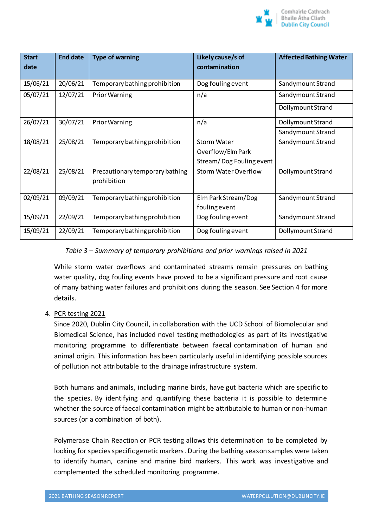

| <b>Start</b><br>date | <b>End date</b> | <b>Type of warning</b>                         | Likely cause/s of<br>contamination | <b>Affected Bathing Water</b> |  |  |
|----------------------|-----------------|------------------------------------------------|------------------------------------|-------------------------------|--|--|
|                      |                 |                                                |                                    |                               |  |  |
| 15/06/21             | 20/06/21        | Temporary bathing prohibition                  | Dog fouling event                  | Sandymount Strand             |  |  |
| 05/07/21             | 12/07/21        | <b>Prior Warning</b>                           | n/a                                | Sandymount Strand             |  |  |
|                      |                 |                                                |                                    | Dollymount Strand             |  |  |
| 26/07/21             | 30/07/21        | <b>Prior Warning</b>                           | n/a                                | Dollymount Strand             |  |  |
|                      |                 |                                                |                                    | Sandymount Strand             |  |  |
| 18/08/21             | 25/08/21        | Temporary bathing prohibition                  | <b>Storm Water</b>                 | Sandymount Strand             |  |  |
|                      |                 |                                                | Overflow/Elm Park                  |                               |  |  |
|                      |                 |                                                | Stream/Dog Fouling event           |                               |  |  |
| 22/08/21             | 25/08/21        | Precautionary temporary bathing<br>prohibition | <b>Storm Water Overflow</b>        | <b>Dollymount Strand</b>      |  |  |
| 02/09/21             | 09/09/21        | Temporary bathing prohibition                  | Elm Park Stream/Dog                | Sandymount Strand             |  |  |
|                      |                 |                                                | fouling event                      |                               |  |  |
| 15/09/21             | 22/09/21        | Temporary bathing prohibition                  | Dog fouling event                  | Sandymount Strand             |  |  |
| 15/09/21             | 22/09/21        | Temporary bathing prohibition                  | Dog fouling event                  | Dollymount Strand             |  |  |

# *Table 3 – Summary of temporary prohibitions and prior warnings raised in 2021*

While storm water overflows and contaminated streams remain pressures on bathing water quality, dog fouling events have proved to be a significant pressure and root cause of many bathing water failures and prohibitions during the season. See Section 4 for more details.

## 4. PCR testing 2021

Since 2020, Dublin City Council, in collaboration with the UCD School of Biomolecular and Biomedical Science, has included novel testing methodologies as part of its investigative monitoring programme to differentiate between faecal contamination of human and animal origin. This information has been particularly useful in identifying possible sources of pollution not attributable to the drainage infrastructure system.

Both humans and animals, including marine birds, have gut bacteria which are specific to the species. By identifying and quantifying these bacteria it is possible to determine whether the source of faecal contamination might be attributable to human or non-human sources (or a combination of both).

Polymerase Chain Reaction or PCR testing allows this determination to be completed by looking for species specific genetic markers. During the bathing season samples were taken to identify human, canine and marine bird markers. This work was investigative and complemented the scheduled monitoring programme.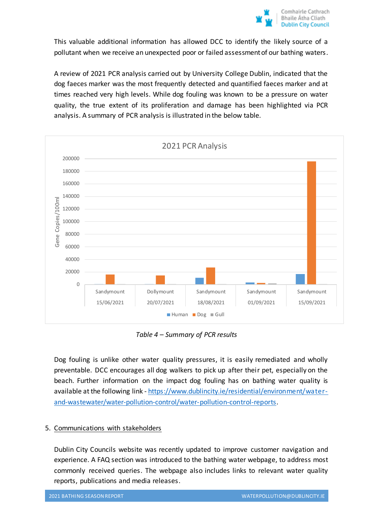This valuable additional information has allowed DCC to identify the likely source of a pollutant when we receive an unexpected poor or failed assessment of our bathing waters.

A review of 2021 PCR analysis carried out by University College Dublin, indicated that the dog faeces marker was the most frequently detected and quantified faeces marker and at times reached very high levels. While dog fouling was known to be a pressure on water quality, the true extent of its proliferation and damage has been highlighted via PCR analysis. A summary of PCR analysis is illustrated in the below table.



*Table 4 – Summary of PCR results*

Dog fouling is unlike other water quality pressures, it is easily remediated and wholly preventable. DCC encourages all dog walkers to pick up after their pet, especially on the beach. Further information on the impact dog fouling has on bathing water quality is available at the following link - [https://www.dublincity.ie/residential/environment/water](https://www.dublincity.ie/residential/environment/water-and-wastewater/water-pollution-control/water-pollution-control-reports)[and-wastewater/water-pollution-control/water-pollution-control-reports.](https://www.dublincity.ie/residential/environment/water-and-wastewater/water-pollution-control/water-pollution-control-reports)

## 5. Communications with stakeholders

Dublin City Councils website was recently updated to improve customer navigation and experience. A FAQ section was introduced to the bathing water webpage, to address most commonly received queries. The webpage also includes links to relevant water quality reports, publications and media releases.